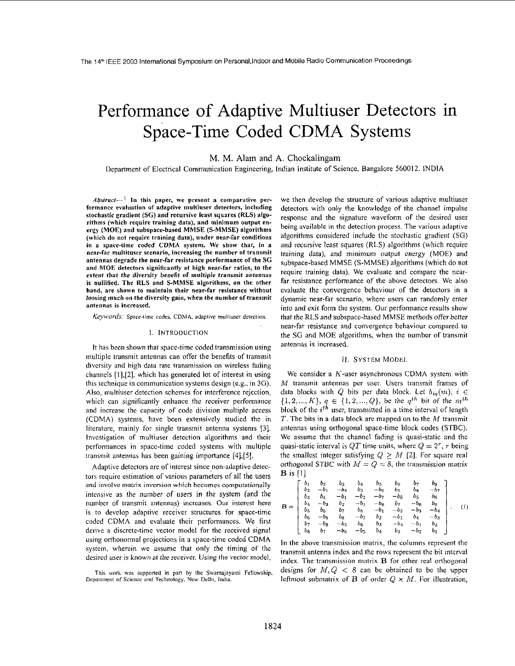# performance of Adaptive Multiuser Detectors in Space-Time Coded CDMA Systems

M. M. Alam and A. Chockalingam

Department of Electrical Communication Engineering, Indian Institute of Science, Bangalore 560012. INDIA

 $Abstract-$ <sup>1</sup> In this paper, we present a comparative performance evaluation **of** adaptive multiuser detectors, including stochastic gradient *(SG)* and recursive least squares **(RLS)** algorithms (which require training data), and minimum output energy **(MOE)** and subspace-based **MMSE (S-MMSE)** algorithms (which do not require training data), under near-far conditions in **a** space-time coded **CDMA** system. We show that, in a near-far multituser scenario, increasing the number **of** transmit antennas degrade the near-far resistance performance of the *SG*  and **MOE** detectors significantly **at** high near-far ratios, **to** the extent that the diversity benefit **of** multiple transmit antennas **is** nullified. The **RLS** and **S-MMSE** algorithms, **on** the other hand, are shown to maintain their near-far resistance without loosing much on the diversity gain, when the number of transmit antennas is increased.

Keywords: Space-time codes. CDMA, adaptive multiuser detection.

#### I. INTRODUCTiON

It has been shown that space-time coded transmission using multiple transmit antennas can offer the benefits of transmit diversity and high data rate transmission on wireless fading channels [1],[2], which has generated lot of interest in using this technique in communication systems design (e.g., in **3G).**  Also, multiuser detection schemes for interference rejection, which can significantly enhance the receiver performance and increase the capacity of code division multiple access (CDMA) systems, have been extensively studied the in literature, mainly for single transmit antenna systems **[3].**  Investigation of multiuser detection algorithms and their performances in space-time coded systems with multiple transmit antennas has been gaining importance  $[4]$ ,  $[5]$ .

Adaptive detectors are of interest since non-adaptive detectors require estimation of various parameters of all the users and involve matrix inversion which becomes computationally intensive as the number of users in the system (and the number of transmit antennas) increases. Our interest here is to develop adaptive receiver structures for space-time codcd CDMA and evaluate their performances. We first derive a discrete-time vector model for the received signal using orthonormal projections in a space-time coded CDMA system, wherein we assume that only the timing of the desired user is known at the receiver. **Using** the vector model,

This work was supported in part by the Swarnajayanti Fellowship, **Depanmrnr of** Scieiice **and** Technology. **New** Delhi. India.

we then develop the structure of various adaptive multiuser detectors with only the knowledge of the channel impulse response and the signature waveform of the desired user being available in the detection process. The various adaptive algorithms considered include the stochastic gradient (SG) and recursive least squares (RLS) algorithms (which require training data), and minimum output energy (MOE) and subspace-based MMSE (S-MMSE) algorithms (which do not require training data). We evaluate and compare the nearfar resistance performance of the above detectors. We also evaluate the convergence behaviour of the detectors in a dynamic near-far scenario, where users can randomly enter into and exit form the system. Our performance results show that the RLS and subspace-based MMSE methods offer better near-far resistance and convergence behaviour compared to the SG and MOE algorithms, when the number of transmit antennas is increased.

# H. SYSTEM MODEL

We consider a  $K$ -user asynchronous CDMA system with M transmit antennas per user. Users transmit frames of data blocks with Q bits per data block. Let  $b_{iq}(m)$ ,  $i \in$  $\{1, 2, ..., K\}, q \in \{1, 2, ..., Q\},$  be the  $q^{th}$  bit of the  $m^{th}$ block of the  $i^{th}$  user, transmitted in a time interval of length  $T$ . The bits in a data block are mapped on to the  $M$  transmit antennas using orthogonal space-time block codes (STBC). We assume that the channel fading is quasi-static and the quasi-static interval is QT time units, where  $Q = 2^r$ , r being the smallest integer satisfying  $Q \geq M$  [2]. For square real orthogonal STBC with  $M = Q = 8$ , the transmission matrix  $B$  is  $[1]$ 

$$
\mathbf{B} = \begin{bmatrix} b_1 & b_2 & b_3 & b_4 & b_5 & b_6 & b_7 & b_8 \ b_2 & -b_1 & -b_4 & b_3 & -b_6 & b_5 & b_8 & -b_7 \ b_3 & b_4 & -b_1 & -b_2 & -b_7 & -b_8 & b_5 & b_6 \ b_4 & b_3 & b_2 & -b_1 & -b_8 & b_7 & b_8 & -b_6 & b_5 \ b_5 & b_6 & b_7 & b_8 & -b_1 & -b_2 & -b_3 & -b_4 \ b_6 & -b_5 & b_8 & -b_7 & b_2 & -b_1 & b_4 & -b_3 \ b_7 & -b_8 & -b_5 & b_6 & b_3 & -b_4 & -b_1 & b_2 \ b_8 & b_7 & -b_6 & -b_5 & b_4 & b_3 & -b_2 & b_1 \end{bmatrix} . (1)
$$

In the above transmission matrix, the columns represent the transmit antenna index and the rows represent the bit interval index. The transmission matrix **B** for other real orthogonal designs for  $M,Q < 8$  can be obtained to be the upper leftmost submatrix of **B** of order  $Q \times M$ . For illustration,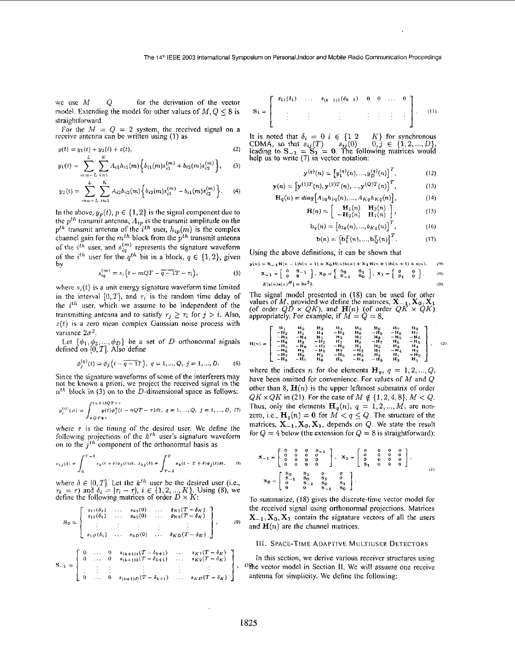model. Extending the model for other values of  $M, Q \leq 8$  is  $S_1 =$ straightforward.

For the  $M = Q = 2$  system, the received signal on a receive antenna can be written using (1) as

$$
y(t) = y_1(t) + y_2(t) + z(t),
$$
 (2)

$$
y_1(t) = \sum_{m=-L}^{\infty} \sum_{i=1}^{L} A_{i1} h_{i1}(m) \Big\{ b_{i1}(m) s_{i1}^{(m)} + b_{i2}(m) s_{i2}^{(m)} \Big\}, \qquad (3)
$$

$$
y_2(t) = \sum_{m=-L}^{L} \sum_{i=1}^{K} A_{i2} h_{i2}(m) \left\{ b_{i2}(m) s_{i1}^{(m)} - b_{i1}(m) s_{i2}^{(m)} \right\}.
$$
 (4)

In the above,  $y_p(t)$ ,  $p \in \{1, 2\}$  is the signal component due to the  $p^{th}$  transmit antenna,  $A_{ip}$  is the transmit amplitude on the  $p^{th}$  transmit antenna of the  $i^{th}$  user,  $h_{ip}(m)$  is the complex channel gain for the  $m^{th}$  block from the  $p^{th}$  transmit antenna of the  $i^{th}$  user, and  $s_{ia}^{(m)}$  represents the signature waveform of the *i*<sup>th</sup> user for the  $q^{th}$  bit in a block,  $q \in \{1, 2\}$ , given by

$$
s_{iq}^{(m)} = s_i \left( t - mQT - \overline{q - 1}T - \tau_i \right), \tag{5}
$$

where  $s_i(t)$  is a unit energy signature waveform time limited in the interval  $[0, T]$ , and  $\tau_i$  is the random time delay of the *i*<sup>th</sup> user, which we assume to be independent of the transmitting antenna and to satisfy  $\tau_j \geq \tau_i$  for  $j > i$ . Also,  $z(t)$  is a zero mean complex Gaussian noise process with variance  $2\sigma^2$ .

Let  $\{\phi_1, \phi_2, ..., \phi_D\}$  be a set of *D* orthonormal signals defined on *[O,T].* Also define

$$
\phi_j^{(q)}(t) = \phi_j\left(t - \overline{q-1}T\right), \ q = 1, ..., Q, \ j = 1, ..., D. \tag{6}
$$

Since the signature waveforms of some of the interferers may not be known a priori, we project the received signal in the  $n^{th}$  block in (3) on to the *D*-dimensional space as follows:

$$
y_j^{(\eta)}(n) = \int_{nQT+\tau}^{(n+1)QT+\tau} y(t) \phi_j^3(t-nQT-\tau) dt, \ q = 1,...,Q, \ j = 1,...,D, \ (7)
$$

where  $\tau$  is the timing of the desired user. We define the following projections of the  $k^{th}$  user's signature waveform on to the  $j<sup>th</sup>$  component of the orthonormal basis as

$$
s_{kj}(\delta) = \int_0^{T-\delta} s_k(t+\delta)\phi_j(t)dt, \ \ \tilde{s}_{kj}(\delta) = \int_{T-\delta}^T s_k(t-T+\delta)\phi_j(t)dt, \qquad (8)
$$

where  $\delta \in [0, T]$ . Let the  $k^{th}$  user be the desired user (i.e.,  $\tau_k = \tau$ ) and  $\delta_i = |\tau_i - \tau|$ ,  $i \in \{1, 2, ..., K\}$ . Using (8), we define the following matrices of order  $D \times K$ :

$$
\mathbf{S_0} = \left[ \begin{array}{cccc} s_{11}(\delta_1) & \ldots & s_{k1}(0) & \ldots & \overline{s_{K1}}(T-\delta_K) \\ s_{12}(\delta_1) & \ldots & s_{k2}(0) & \ldots & \overline{s_{K2}}(T-\delta_K) \\ \vdots & \vdots & \vdots & \vdots & \vdots \\ s_{1D}(\delta_1) & \ldots & s_{kD}(0) & \ldots & \overline{s_{KD}}(T-\delta_K) \end{array} \right], \qquad (9)
$$

$$
S_{-1} = \begin{bmatrix} 0 & \dots & 0 & s_{(k+1)1}(T - \delta_{k+1}) & \dots & s_{K1}(T - \delta_K) \\ 0 & \dots & 0 & s_{(k+1)2}(T - \delta_{k+1}) & \dots & s_{K2}(T - \delta_K) \\ \vdots & \vdots & \vdots & \vdots & \vdots & \vdots \\ 0 & \dots & 0 & s_{(k+1)D}(T - \delta_{k+1}) & \dots & s_{KD}(T - \delta_K) \end{bmatrix},
$$

we use 
$$
M
$$
  $Q$  for the derivation of the vector  
model. Extending the model for other values of  $M, Q \le 8$  is  $s_1 = \begin{bmatrix} s_{11}(\delta_1) & \cdots & s_{(k-1)1}(\delta_{k-1}) & 0 & 0 & \cdots & 0 \\ \vdots & \vdots & \vdots & \vdots & \vdots & \vdots & \vdots \end{bmatrix}$ . (11)

It is noted that  $\delta_i = 0$  *i*  $\in \{1, 2, ..., K\}$  for synchronous  $y(t) = y_1(t) + y_2(t) + z(t)$ ,<br>  $y(t) = y_1(t) + y_2(t) + z(t)$ ,<br>  $y(t) = y_1(t) + y_2(t) + z(t)$ ,<br>  $y(t) = y_1(t) + y_2(t) + z(t)$ ,<br>  $y(t) = y_1(t) + y_2(t) + z(t)$ ,<br>  $y(t) = y_1(t) + y_2(t) + z(t)$ ,<br>  $y(t) = y_1(t) + y_2(t) + z(t)$ ,<br>  $y(t) = y_1(t) + y_2(t) + z(t)$ ,<br>  $y(t) = y_1(t) + y_2(t) + z(t)$ ,<br>  $y(t) =$ 

$$
\mathbf{y}^{(q)}(n) = \left[ y_1^{(q)}(n), \dots, y_D^{(q)}(n) \right]^T, \tag{12}
$$

$$
\mathbf{y}(n) = \left[ \mathbf{y}^{(1)T}(n), \mathbf{y}^{(2)T}(n), ..., \mathbf{y}^{(Q)T}(n) \right]^T, \tag{13}
$$

$$
\mathbf{H}_q(n) = diag\left[A_{1q}h_{1q}(n), \dots, A_{Kq}h_{Kq}(n)\right],\tag{14}
$$

$$
\mathbf{H}(n) = \begin{bmatrix} \mathbf{H}_1(n) & \mathbf{H}_2(n) \\ -\mathbf{H}_2(n) & \mathbf{H}_1(n) \end{bmatrix}, \qquad (15)
$$

$$
\mathbf{b}_q(n) = \left[ b_{1q}(n), ..., b_{Kq}(n) \right]^{\mathsf{T}}, \tag{16}
$$

$$
\mathbf{b}(n) = \left[\mathbf{b}_1^T(n), ..., \mathbf{b}_Q^T(n)\right]^T. \tag{17}
$$

Using the above definitions, it can be shown that

$$
y(n) = X_{-1}H(n-1)B(n-1) + X_0H(n)B(n) + X_1H(n+1)B(n+1) + X(n),
$$
  
\n
$$
X_{-1} = \begin{bmatrix} 0 & 5-1 \ 0 & 0 \end{bmatrix}, X_0 = \begin{bmatrix} S_0 & S_1 \ S_{-1} & S_0 \end{bmatrix}, X_1 = \begin{bmatrix} 0 & 0 \ 5_1 & 0 \end{bmatrix}.
$$
  
\n
$$
E[\mathbf{z}(n)\mathbf{z}(n)^H] = 2\sigma^2 I.
$$
 (20)

The signal model presented in (18) can be used for other<br>values of M, provided we define the matrices,  $X_{-1}$ ,  $X_0$ ,  $X_1$ <br>(of order  $QD \times QK$ ), and  $H(n)$  (of order  $QK \times QK$ )<br>appropriately. For example, if  $M = Q = 8$ ,

$$
H(n)=\left[\begin{array}{ccccccccccc}H_1 & H_2 & H_3 & H_4 & H_5 & H_6 & H_7 & H_8\\ -H_2 & H_1 & H_4 & -H_3 & H_6 & -H_8 & -H_8 & -H_9\\ -H_3 & -H_4 & H_3 & -H_2 & H_1 & H_8 & -H_5 & -H_6\\ -H_4 & H_3 & -H_2 & H_1 & H_8 & -H_7 & H_6 & -H_7\\ -H_5 & -H_6 & -H_7 & -H_8 & H_1 & H_2 & H_3 & H_4\\ -H_6 & H_5 & -H_8 & H_7 & -H_2 & H_1 & -H_4 & H_3\\ -H_7 & H_8 & H_5 & -H_6 & -H_8 & H_4 & H_1 & -H_2\\ -H_8 & -H_7 & H_6 & H_5 & -H_4 & H_3 & H_2 & H_1\end{array}\right].\quad(1)
$$

where the indices *n* for the elements  $\mathbf{H}_q$ ,  $q = 1, 2, ..., Q$ , have been omitted for convenience. For values of *hf* and Q other than 8,  $\mathbf{H}(n)$  is the upper leftmost submatrix of order  $QK \times QK$  in (21). For the case of  $M \notin \{1,2,4,8\}, M < Q$ . Thus, only the elements  $\mathbf{H}_q(n)$ ,  $q = 1, 2, ..., M$ , are nonzero, i.e.,  $\mathbf{H}_q(n) = \mathbf{0}$  for  $M < q \leq Q$ . The structure of the matrices,  $X_{-1}$ ,  $X_0$ ,  $X_1$ , depends on  $Q$ . We state the result for  $Q = 4$  below (the extension for  $Q = 8$  is straightforward):

$$
\mathbf{X}_{-1} = \begin{bmatrix} 0 & 0 & 0 & 0 & 0 & 0 \\ 0 & 0 & 0 & 0 & 0 & 0 \\ 0 & 0 & 0 & 0 & 0 & 0 \\ 0 & 0 & 0 & 0 & 0 & 0 \end{bmatrix}, \quad \mathbf{X}_{1} = \begin{bmatrix} 0 & 0 & 0 & 0 & 0 \\ 0 & 0 & 0 & 0 & 0 \\ 0 & 0 & 0 & 0 & 0 \\ 0 & 0 & 0 & 0 & 0 \end{bmatrix},
$$

$$
\mathbf{X}_{0} = \begin{bmatrix} \mathbf{S}_{-1} & \mathbf{S}_{0} & \mathbf{S}_{1} & 0 & 0 \\ 0 & 0 & \mathbf{S}_{-1} & \mathbf{S}_{0} \\ 0 & 0 & \mathbf{S}_{-1} & \mathbf{S}_{0} \end{bmatrix}.
$$

To summarize, (18) gives the discrete-timc vector model for the received signal using orthonormal projections. Matrices  $X_{-1}$ ,  $X_0$ ,  $X_1$  contain the signature vectors of all the users and  $H(n)$  are the channel matrices.

## 111. SPACE-TIME ADAPTIVE MULTIUSER DETECTORS

In this section, we derive various receiver structures using ('he vector model in Section 11. We will assume one receive antenna for simplicity. We define the following: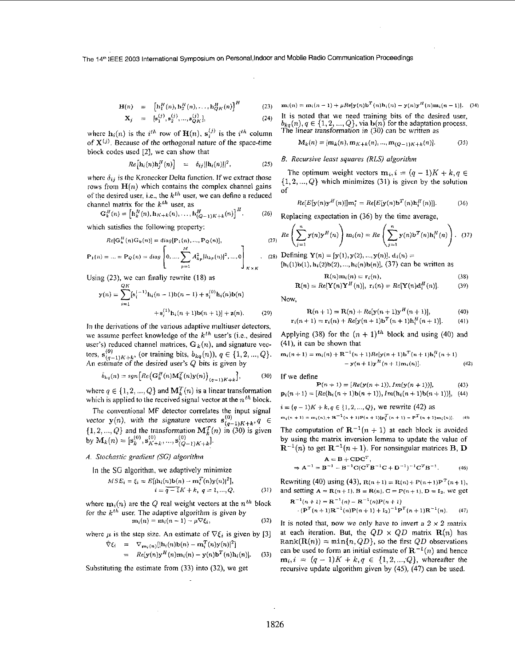The **14Ih** IEEE 2003 International Symposium on Persona1,lndoor and Mobile Radio Communication Proceedings

$$
\mathbf{H}(n) = [\mathbf{h}_1^H(n), \mathbf{h}_2^H(n), \dots, \mathbf{h}_{Q_K}^H(n)]^H
$$
(23)  

$$
\mathbf{X}_j = [\mathbf{s}_1^{(j)}, \mathbf{s}_2^{(j)}, \dots, \mathbf{s}_{Q_K}^{(j)}],
$$
(24)

where  $h_i(n)$  is the *i*<sup>th</sup> row of  $H(n)$ ,  $s_i^{(j)}$  is the *i*<sup>th</sup> column of  $X^{(j)}$ . Because of the orthogonal nature of the space-time block codes used **[2],** we can show that

$$
Re\big[\mathbf{h}_i(n)\mathbf{h}_j^H(n)\big] = \delta_{ij} ||\mathbf{h}_i(n)||^2, \qquad (25)
$$

where  $\delta_{ij}$  is the Kronecker Delta function. If we extract those rows from  $H(n)$  which contains the complex channel gains of the desired user, i.e., the  $k<sup>th</sup>$  user, we can define a reduced channel matrix for the *ktk* user, **as** 

$$
\mathbf{G}_{k}^{H}(n) = \left[\mathbf{h}_{k}^{H}(n), \mathbf{h}_{K+k}(n), \ldots, \mathbf{h}_{(Q-1)K+k}^{H}(n)\right]^{H}.
$$
 (26)

which satisfies the following property:

$$
Re[\mathbf{G}_k^H(n)\mathbf{G}_k(n)] = diag[\mathbf{P}_1(n), ..., \mathbf{P}_Q(n)],
$$

$$
\mathbf{P}_1(n) = \dots = \mathbf{P}_Q(n) = diag \left[ 0, \dots, \sum_{p=1}^{M} A_{kp}^2 | h_{kp}(n) |^2, \dots, 0 \right]_{K \times K}.
$$

Using **(23),** we can finally rewrite (18) as **Q** *K* 

$$
\mathbf{y}(n) = \sum_{i=1}^{QK} [\mathbf{s}_i^{(-1)} \mathbf{h}_i(n-1) \mathbf{b}(n-1) + \mathbf{s}_i^{(0)} \mathbf{h}_i(n) \mathbf{b}(n) + \mathbf{s}_i^{(1)} \mathbf{h}_i(n+1) \mathbf{b}(n+1)] + \mathbf{z}(n).
$$
 (29)

In the derivations of the various adaptive multiuser detectors, we assume perfect knowledge of the *kth* user's (i.e., desired user's) reduced channel matrices,  $G_k(n)$ , and signature vec-An estmate of the desired user's Q bits **is** given by tors,  $s_{(q-1)K+k}^{(0)}$ , (or training bits,  $b_{kq}(n)$ ),  $q \in \{1, 2, ..., Q\}$ .

$$
\hat{b}_{kq}(n) = sgn\left[Re\left(\mathbf{G}_k^H(n)\mathbf{M}_k^T(n)\mathbf{y}(n)\right)_{(q-1)K+k}\right],\tag{30}
$$

where  $q \in \{1, 2, ..., Q\}$  and  $\mathbf{M}_{k}^{T}(n)$  is a linear transformation which is applied to the received signal vector at the  $n<sup>th</sup>$  block.

The conventional MF detector correlates the input signal vector  $y(n)$ , with the signature vectors  $s^{(0)}_{(q-1)K+k}$ ,  $q \in$  $\{1, 2, ..., Q\}$  and the transformation  $\mathbf{M}_k^T(n)$  in (30) is given by  $\mathbf{M}_k(n) = [\mathbf{s}_k^{(0)}, \mathbf{s}_{K+k}^{(0)}, ..., \mathbf{s}_{(Q-1)K+k}^{(0)}].$ 

## *A. Stochastic gradient (SG) algorithin*

In the SG algorithm, we adaptively minimize

$$
hastic gradient (SG) algorithm
$$
  
\n
$$
SG algorithm, we adaptively minimize
$$
  
\n
$$
MSE_i = \xi_i = E[|h_i(n)b(n) - m_i^T(n)y(n)|^2],
$$
  
\n
$$
i = \overline{q - 1}K + k, q = 1, ..., Q,
$$
\n(31)

where  $m_i(n)$  are the Q real weight vectors at the  $n^{th}$  block for the *k*<sup>th</sup> user. The adaptive algorithm is given by  $m_i(n) = m_i(n-1) - \mu \nabla \xi_i$ ,

$$
\mathbf{m}_i(n) = \mathbf{m}_i(n-1) - \mu \nabla \xi_i, \qquad (32)
$$

where  $\mu$  is the step size. An estimate of  $\nabla \xi_i$  is given by [3]  $\hat{\nabla}f_i = \nabla_{\text{max}}(\text{h}_i(n)\text{h}(n) - \text{m}_i^T(n)\text{v}(n))^2$ 

$$
c_i = \nabla_{m_i(n)} \left[ \frac{\mu_i(n) \mu_i(n)}{\mu_i(n)} - \frac{\mu_i(n) \mathbf{y}(n)}{\mu_i(n)} \right] = R_e[\mathbf{y}(n) \mathbf{y}^H(n) \mathbf{m}_i(n) - \mathbf{y}(n) \mathbf{b}^T(n) \mathbf{h}_i(n)]. \quad (33)
$$

Substituting the estimate from **(33)** into **(32),** we get

 $m_i(n) = m_i(n-1) + \mu Re[\mathbf{y}(n)\mathbf{b}^T(n)\mathbf{h}_i(n) - \mathbf{y}(n)\mathbf{y}^H(n)\mathbf{m}_i(n-1)].$  (34) It is noted that we need training bits of the desired user,  $b_{kq}(n), q \in \{1, 2, ..., Q\}$ , via  $\mathbf{b}(n)$  for the adaptation process. The linear transformation in **(30)** can be written as

$$
\mathbf{M}_k(n) = [\mathbf{m}_k(n), \mathbf{m}_{K+k}(n), ..., \mathbf{m}_{(Q-1)K+k}(n)].
$$
 (35)

## *B. Recursive least squares (RLS) algorithm*

The optimum weight vectors  $\mathbf{m}_i, i = (q-1)K + k, q \in$ {1,2, *...,Q}* which minimizes **(31)** is given by the solution of

$$
Re[E[\mathbf{y}(n)\mathbf{y}^H(n)]]\mathbf{m}_i^* = Re[E[\mathbf{y}(n)\mathbf{b}^T(n)\mathbf{h}_i^H(n)]]. \tag{36}
$$

Replacing expectation in **(36)** by the time average,

$$
Re\left(\sum_{j=1}^{n} \mathbf{y}(n) \mathbf{y}^{H}(n)\right) \mathbf{m}_{i}(n) = Re\left(\sum_{j=1}^{n} \mathbf{y}(n) \mathbf{b}^{T}(n) \mathbf{h}_{i}^{H}(n)\right). \quad (37)
$$

(28) Defining  $Y(n) = [y(1), y(2), ..., y(n)], d_i(n) =$ 

 $[h_i(1)b(1), h_i(2)b(2), ..., h_i(n)b(n)],$  (37) can be written as

$$
\mathbf{R}(n)\mathbf{m}_i(n) = \mathbf{r}_i(n),
$$
\n
$$
\mathbf{R}(n) = Re[\mathbf{Y}(n)\mathbf{Y}^H(n)], \ \mathbf{r}_i(n) = Re[\mathbf{Y}(n)\mathbf{d}_i^H(n)].
$$
\n(39)

Now,

 $(27)$ 

$$
R(n + 1) = R(n) + Re[y(n + 1)yH(n + 1)],
$$
 (40)

$$
\mathbf{r}_i(n+1) = \mathbf{r}_i(n) + Re[\mathbf{y}(n+1)\mathbf{b}^T(n+1)\mathbf{h}_i^H(n+1)].
$$
 (41)

Applying (38) for the  $(n + 1)$ <sup>th</sup> block and using (40) and (41), it can be shown that

$$
\mathbf{m}_{i}(n+1) = \mathbf{m}_{i}(n) + \mathbf{R}^{-1}(n+1)Re[\mathbf{y}(n+1)\mathbf{b}^{T}(n+1)\mathbf{h}_{i}^{H}(n+1) - \mathbf{y}(n+1)\mathbf{y}^{H}(n+1)\mathbf{m}_{i}(n)].
$$
\n(f we define  
\n
$$
\mathbf{P}(n+1) = [Re(\mathbf{y}(n+1)), Im(\mathbf{y}(n+1))], \qquad (43)
$$
\n
$$
\mathbf{p}_{i}(n+1) = [Re(\mathbf{h}_{i}(n+1)\mathbf{b}(n+1)), Im(\mathbf{h}_{i}(n+1)\mathbf{b}(n+1))], \qquad (44)
$$

**If** we define

$$
\mathbf{P}(n+1) = [Re(\mathbf{y}(n+1)), Im(\mathbf{y}(n+1))], \tag{43}
$$
  

$$
\mathbf{p}_i(n+1) = [Re(\mathbf{h}_i(n+1)\mathbf{b}(n+1)), Im(\mathbf{h}_i(n+1)\mathbf{b}(n+1))], \tag{44}
$$

$$
P_i(n+1) = [Re(\mathbf{n}_i(n+1)\mathbf{o}(n+1)), Im(\mathbf{n}_i(n+1)\mathbf{o}(n+1))],
$$
 (44)  

$$
i = (q-1)K + k, q \in \{1, 2, ..., Q\},
$$
 we rewrite (42) as  

$$
m_i(n+1) = m_i(n) + \mathbf{R}^{-1}(n+1)\mathbf{P}(n+1)[\mathbf{P}_i^T(n+1) - \mathbf{P}^T(n+1)m_i(n)].
$$
 (45)

The computation of  $\mathbf{R}^{-1}(n + 1)$  at each block is avoided by using the matrix inversion lemma to update the value of  ${\bf R}^{-1}(n)$  to get  ${\bf R}^{-1}(n+1)$ . For nonsingular matrices **B**, **D** 

$$
A = B + CDCT,\Rightarrow A-1 \approx B-1 - B-1C(CTB-1C + D-1)-1CTB-1.
$$
 (46)

Rewriting (40) using (43),  $R(n+1) = R(n) + P(n+1)P^{T}(n+1)$ , and setting  $A = R(n+1)$ ,  $B = R(n)$ ,  $C = P(n+1)$ ,  $D = I_2$ , we get  $R^{-1}(n+1)=R^{-1}(n)-R^{-1}(n)P(n+1)$ 

$$
\mathbf{R}^{-1}(n+1) = \mathbf{R}^{-1}(n) = \mathbf{R}^{-1}(n+1)
$$
  
 
$$
(\mathbf{P}^{T}(n+1)\mathbf{R}^{-1}(n)\mathbf{P}(n+1) + \mathbf{I}_{2})^{-1}\mathbf{P}^{T}(n+1)\mathbf{R}^{-1}(n).
$$
 (47)

It is noted that, now we only have to invert a  $2 \times 2$  matrix at each iteration. But, the  $QD \times QD$  matrix  $\mathbf{R}(n)$  has  $Rank(R(n)) = min\{n, QD\}$ , so the first *QD* observations can be used to form an initial estimate of  $\mathbb{R}^{-1}(n)$  and hence  $m_i, i = (q - 1)K + k, q \in \{1, 2, ..., Q\}$ , whereafter the recursive update algorithm given by (45), (47) can be used.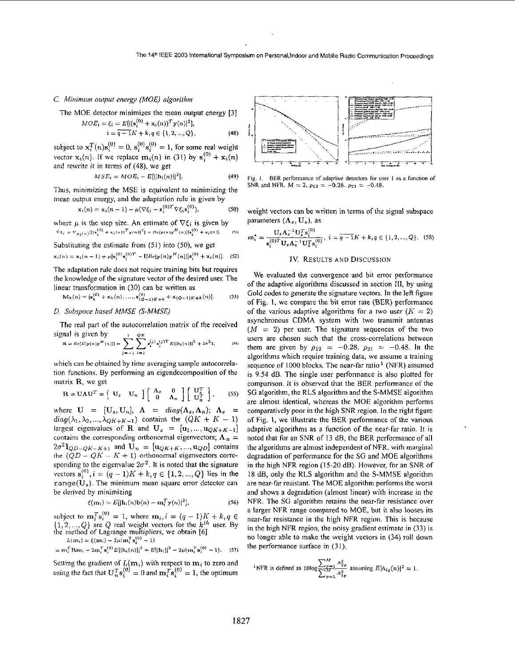#### *C. Miiiimiim output energy (MOEj algorithm*

The MOE detector minimizes the mean output energy [3]

$$
MOE_i = \xi_i = E[|(\mathbf{s}_i^{(0)} + \mathbf{x}_i(n))^T \mathbf{y}(n)|^2],
$$
  
\n
$$
i = \widehat{q - 1}K + k, q \in \{1, 2, ..., Q\},
$$
 (48)

subject to  $\mathbf{x}_i^T(n)\mathbf{s}_i^{(0)} = 0$ ,  $\mathbf{s}_i^{(0)}\mathbf{s}_i^{(0)} = 1$ , for some real weight vector  $\mathbf{x}_i(n)$ . If we replace  $\mathbf{m}_i(n)$  in (31) by  $\mathbf{s}_i^{(0)} + \mathbf{x}_i(n)$ and rewrite it in terms of **(48),** we get

$$
MSE_i = MOE_i - E[||\mathbf{h}_i(n)||^2]. \tag{49}
$$

Thus, minimizing the MSE is equivalent to minimizing the mean output energy, and the adaptation rule is given by  $\mathbf{x}_i(n) = \mathbf{x}_i(n-1) - \mu(\nabla \xi_i - \mathbf{s}_i^{(0)T} \nabla \xi_i \mathbf{s}_i^{(0)}),$ 

$$
\mathbf{x}_i(n) = \mathbf{x}_i(n-1) - \mu(\nabla \xi_i - \mathbf{s}_i^{(0)T} \nabla \xi_i \mathbf{s}_i^{(0)}), \tag{50}
$$

 $\hat{\nabla} \xi_i = \nabla_{\mathbf{x}_i(n)} [ |(\mathbf{s}_i^{(0)} + \mathbf{x}_i(n))^T \mathbf{y}(n) |^2 ] = Re[\mathbf{y}(n)\mathbf{y}^H(n)] [\mathbf{s}_i^{(0)} + \mathbf{x}_i(n)].$ where  $\mu$  is the step size. An estimate of  $\nabla \xi_i$  is given by  $(8)$ 

Substituting the estimate from 
$$
(51)
$$
 into  $(50)$ , we get

$$
\mathbf{x}_{i}(n) = \mathbf{x}_{i}(n-1) + \mu[\mathbf{s}_{i}^{(0)}\mathbf{s}_{i}^{(0)T} - \mathbf{I}]Re[\mathbf{y}(n)\mathbf{y}^{H}(n)][\mathbf{s}_{i}^{(0)} + \mathbf{x}_{i}(n)].
$$
 (52)

The adaptation rule does not require training bits but requires the knowledge of the signature vector of the desired user. The linear transformation in (30) can be written as

$$
\mathbf{M}_{k}(n) = [\mathbf{s}_{k}^{(0)} + \mathbf{x}_{k}(n), \dots, \mathbf{s}_{(Q-1)K+k}^{(0)} + \mathbf{x}_{(Q-1)K+k}(n)].
$$
 (53)

# *D. Subspnce based MMSE (S-MMSEj*

The real part of the autocorrelation matrix of the received signal is given by  $P_{A}$   $\sigma_{R}$ 

$$
\mathbf{R} = Re[E[\mathbf{y}(n)\mathbf{y}^{H}(n)] = \sum_{j=-1}^{N} \sum_{i=1}^{N} \epsilon_{i}^{(j)} \epsilon_{i}^{(j)T} E[|\mathbf{h}_{i}(n)|]^{2} + 2\sigma^{2} \mathbf{I}, \quad (34)
$$

which can be obtained by time averaging sample autocorrelation functions. By performing an eigendecomposition of the matrix **R**, we get

$$
\mathbf{R} = \mathbf{U}\mathbf{\Lambda}\mathbf{U}^T = \begin{bmatrix} \mathbf{U}_s & \mathbf{U}_n \end{bmatrix} \begin{bmatrix} \mathbf{\Lambda}_s & \mathbf{0} \\ \mathbf{0} & \mathbf{\Lambda}_n \end{bmatrix} \begin{bmatrix} \mathbf{U}_s^T \\ \mathbf{U}_n^T \end{bmatrix}, \qquad (55)
$$

where  $U = [U_s, U_n], \Lambda = diag(\Lambda_s, \Lambda_n); \Lambda_s =$  $diag(\lambda_1, \lambda_2, ..., \lambda_{QK+K-1})$  contains the  $(QK + K - 1)$ largest eigenvalues of **R** and  $U_s = [\mathbf{u}_1, ..., \mathbf{u}_{QK+K-1}]$ contains the corresponding orthonormal eigenvectors;  $\Lambda_n =$  $2\sigma^2 \mathbf{I}_{QD-QK-K+1}$  and  $\mathbf{U}_n = [\mathbf{u}_{QK+K},...,\mathbf{u}_{QD}]$  contains the  $(QD - QK - K + 1)$  orthonormal eigenvectors corresponding to the eigenvalue  $2\sigma^2$ . It is noted that the signature sponding to the eigenvalue  $2\sigma^2$ . It is noted that the signature vectors  $\mathbf{s}_i^{(0)}$ ,  $i = (q-1)K + k, q \in \{1, 2, ..., Q\}$  lies in the range( $U_s$ ). The minimum mean square error detector can be derived by minimizing

$$
\xi(m_i) = E[|h_i(n)b(n) - m_i^T y(n)|^2],
$$
\n(56)

subject to  $\mathbf{m}_i^T \mathbf{s}_i^{(0)} = 1$ , where  $\mathbf{m}_i, i = (q - 1)K + k, q \in \{1, 2, ..., Q\}$  are Q real weight vectors for the  $k^{th}$  user. By the method of Lagrange multipliers, we obtain [6] nethod of Lagrange mumpher<br> $L(m_i) = \xi(m_i) - 2\mu(m_i^T s_i^{(0)} - 1)$ 

$$
E(m_i) = \zeta(m_i) - 2\mu(m_i | \mathbf{s}_i - 1)
$$
  
=  $\mathbf{m}_i^T \mathbf{R} \mathbf{m}_i - 2\mathbf{m}_i^T \mathbf{s}_i^{(0)} E[|\mathbf{h}_i(\mathbf{n})||^2 + E[|\mathbf{h}_i|]^2 - 2\mu(\mathbf{m}_i^T \mathbf{s}_i^{(0)} - 1).$  (57)

Setting the gradient of  $L(\mathbf{m}_i)$  with respect to  $\mathbf{m}_i$  to zero and using the fact that  $\mathbf{U}_n^T \mathbf{s}_i^{(0)} = 0$  and  $\mathbf{m}_i^T \mathbf{s}_i^{(0)} = 1$ , the optimum



Fig. I. BER **performance** of **adaptive detecton** for **user** I **as a** function **of**  SNR and NFR.  $M = 2$ ,  $\rho_{12} = -0.28$ .  $\rho_{21} = -0.48$ .

weight vectors can be written in terms of the signal subspace parameters  $(\Lambda_s, U_s)$ , as

$$
\mathbf{m}_{i}^{*} = \frac{\mathbf{U}_{s} \Lambda_{s}^{-1} \mathbf{U}_{s}^{T} \mathbf{s}_{i}^{(0)}}{\mathbf{s}_{i}^{(0)T} \mathbf{U}_{s} \Lambda_{s}^{-1} \mathbf{U}_{s}^{T} \mathbf{s}_{i}^{(0)}}, \ i = \overline{q-1}K + k, q \in \{1, 2, ..., Q\}. \tag{58}
$$

#### **IV.** RESULTS **AND** DISCUSSION

We evaluated the convergence and bit error performance of the adaptive algorithms discussed in section 111, by using Gold codes to generate the signature vectors. In the left figure of Fig. 1, we compare the bit error rate (BER) performance of the various adaptive algorithms for a two user  $(K = 2)$ asynchronous CDMA system with two transmit antennas  $(M = 2)$  per user. The signature sequences of the two users are chosen such that the cross-correlations between them are given by  $\rho_{12} = -0.28$ .  $\rho_{21} = -0.48$ . In the algorithms which require training data, we assume a training sequence of 1000 blocks. The near-far ratio<sup>1</sup> (NFR) assumed is 9.54 dB. The single user performance **is** also plotted for comparison. It is observed that the BER performance of the SG algorithm, the RLS algorithm and the S-MMSE algorithm are almost identical, whereas the MOE algorithm performs comparatively poor in the high SNR region. In the right figure of Fig. I, we illustrate the BER performance of the various adaptive algorithms as a function of the near-far ratio. It is noted that for an SNR of **13** dB, the BER performance of all the algorithms are almost independent of NFR, with marginal degradation of performance for the SG and MOE algorithms in the high NFR region **(15.20** dB). However, for an SNR of 18 dB, only the RLS algorithm and the S-MMSE algorithm are near-far resistant. The MOE algorithm performs the worst and shows a degradation (almost linear) with increase in the NFR. The SG algorithm retains the near-far resistance over a larger NFR range compared to MOE, but it also looses its near-far resistance in the high NFR region. This is because in the high NFR region, the noisy gradient estimate in **(33) is**  no longer able to make the weight vectors in **(34)** roll down the performance surface in (31).

<sup>1</sup>NFR is defined as 
$$
10\log \frac{\sum_{p=1}^{M} A_{2p}^2}{\sum_{p=1}^{M} A_{1p}^2}
$$
 assuming  $E|h_{iq}(n)|^2 = 1$ .